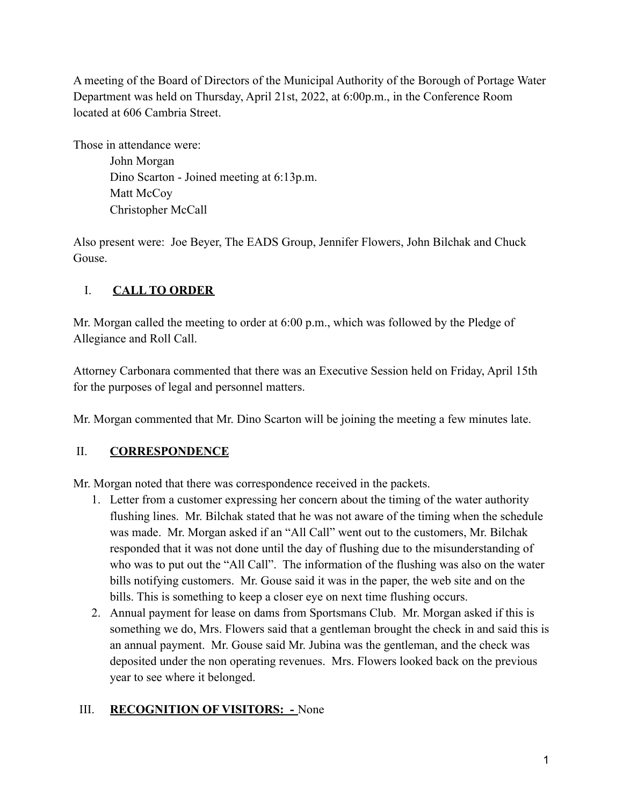A meeting of the Board of Directors of the Municipal Authority of the Borough of Portage Water Department was held on Thursday, April 21st, 2022, at 6:00p.m., in the Conference Room located at 606 Cambria Street.

Those in attendance were: John Morgan

Dino Scarton - Joined meeting at 6:13p.m. Matt McCoy Christopher McCall

Also present were: Joe Beyer, The EADS Group, Jennifer Flowers, John Bilchak and Chuck Gouse.

# I. **CALL TO ORDER**

Mr. Morgan called the meeting to order at 6:00 p.m., which was followed by the Pledge of Allegiance and Roll Call.

Attorney Carbonara commented that there was an Executive Session held on Friday, April 15th for the purposes of legal and personnel matters.

Mr. Morgan commented that Mr. Dino Scarton will be joining the meeting a few minutes late.

# II. **CORRESPONDENCE**

Mr. Morgan noted that there was correspondence received in the packets.

- 1. Letter from a customer expressing her concern about the timing of the water authority flushing lines. Mr. Bilchak stated that he was not aware of the timing when the schedule was made. Mr. Morgan asked if an "All Call" went out to the customers, Mr. Bilchak responded that it was not done until the day of flushing due to the misunderstanding of who was to put out the "All Call". The information of the flushing was also on the water bills notifying customers. Mr. Gouse said it was in the paper, the web site and on the bills. This is something to keep a closer eye on next time flushing occurs.
- 2. Annual payment for lease on dams from Sportsmans Club. Mr. Morgan asked if this is something we do, Mrs. Flowers said that a gentleman brought the check in and said this is an annual payment. Mr. Gouse said Mr. Jubina was the gentleman, and the check was deposited under the non operating revenues. Mrs. Flowers looked back on the previous year to see where it belonged.

# III. **RECOGNITION OF VISITORS: -** None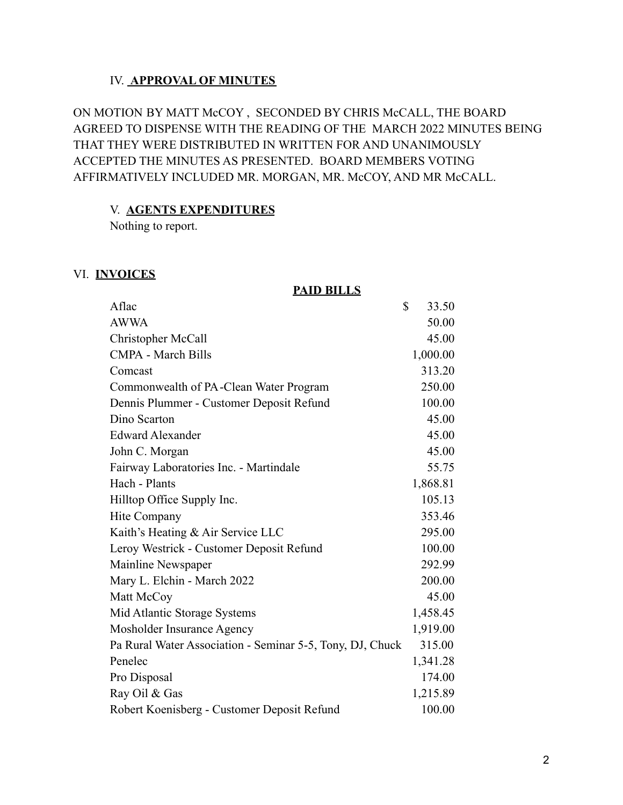#### IV. **APPROVAL OF MINUTES**

ON MOTION BY MATT McCOY , SECONDED BY CHRIS McCALL, THE BOARD AGREED TO DISPENSE WITH THE READING OF THE MARCH 2022 MINUTES BEING THAT THEY WERE DISTRIBUTED IN WRITTEN FOR AND UNANIMOUSLY ACCEPTED THE MINUTES AS PRESENTED. BOARD MEMBERS VOTING AFFIRMATIVELY INCLUDED MR. MORGAN, MR. McCOY, AND MR McCALL.

#### V. **AGENTS EXPENDITURES**

Nothing to report.

#### VI. **INVOICES**

#### **PAID BILLS**

| Aflac                                                     | \$<br>33.50 |
|-----------------------------------------------------------|-------------|
| <b>AWWA</b>                                               | 50.00       |
| Christopher McCall                                        | 45.00       |
| <b>CMPA - March Bills</b>                                 | 1,000.00    |
| Comcast                                                   | 313.20      |
| Commonwealth of PA-Clean Water Program                    | 250.00      |
| Dennis Plummer - Customer Deposit Refund                  | 100.00      |
| Dino Scarton                                              | 45.00       |
| <b>Edward Alexander</b>                                   | 45.00       |
| John C. Morgan                                            | 45.00       |
| Fairway Laboratories Inc. - Martindale                    | 55.75       |
| Hach - Plants                                             | 1,868.81    |
| Hilltop Office Supply Inc.                                | 105.13      |
| Hite Company                                              | 353.46      |
| Kaith's Heating & Air Service LLC                         | 295.00      |
| Leroy Westrick - Customer Deposit Refund                  | 100.00      |
| Mainline Newspaper                                        | 292.99      |
| Mary L. Elchin - March 2022                               | 200.00      |
| Matt McCoy                                                | 45.00       |
| Mid Atlantic Storage Systems                              | 1,458.45    |
| Mosholder Insurance Agency                                | 1,919.00    |
| Pa Rural Water Association - Seminar 5-5, Tony, DJ, Chuck | 315.00      |
| Penelec                                                   | 1,341.28    |
| Pro Disposal                                              | 174.00      |
| Ray Oil & Gas                                             | 1,215.89    |
| Robert Koenisberg - Customer Deposit Refund               | 100.00      |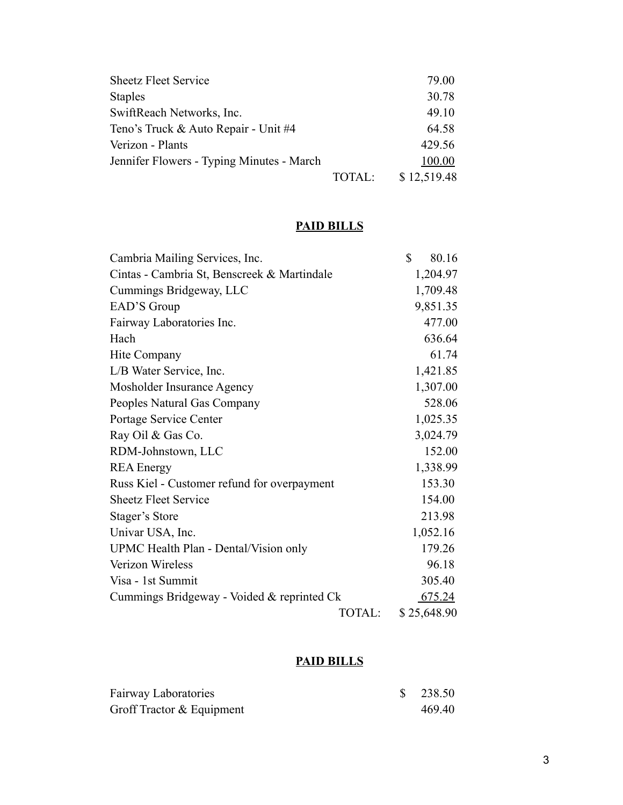| <b>Sheetz Fleet Service</b>               |               | 79.00       |
|-------------------------------------------|---------------|-------------|
| <b>Staples</b>                            |               | 30.78       |
| SwiftReach Networks, Inc.                 |               | 49.10       |
| Teno's Truck & Auto Repair - Unit #4      |               | 64.58       |
| Verizon - Plants                          |               | 429.56      |
| Jennifer Flowers - Typing Minutes - March |               | 100.00      |
|                                           | <b>TOTAL:</b> | \$12,519.48 |

# **PAID BILLS**

| Cambria Mailing Services, Inc.              | \$<br>80.16 |
|---------------------------------------------|-------------|
| Cintas - Cambria St, Benscreek & Martindale | 1,204.97    |
| Cummings Bridgeway, LLC                     | 1,709.48    |
| EAD'S Group                                 | 9,851.35    |
| Fairway Laboratories Inc.                   | 477.00      |
| Hach                                        | 636.64      |
| Hite Company                                | 61.74       |
| L/B Water Service, Inc.                     | 1,421.85    |
| Mosholder Insurance Agency                  | 1,307.00    |
| Peoples Natural Gas Company                 | 528.06      |
| Portage Service Center                      | 1,025.35    |
| Ray Oil & Gas Co.                           | 3,024.79    |
| RDM-Johnstown, LLC                          | 152.00      |
| <b>REA</b> Energy                           | 1,338.99    |
| Russ Kiel - Customer refund for overpayment | 153.30      |
| <b>Sheetz Fleet Service</b>                 | 154.00      |
| Stager's Store                              | 213.98      |
| Univar USA, Inc.                            | 1,052.16    |
| UPMC Health Plan - Dental/Vision only       | 179.26      |
| Verizon Wireless                            | 96.18       |
| Visa - 1st Summit                           | 305.40      |
| Cummings Bridgeway - Voided & reprinted Ck  | 675.24      |
| TOTAL:                                      | \$25,648.90 |

# **PAID BILLS**

| <b>Fairway Laboratories</b> | $\frac{\$}{238.50}$ |
|-----------------------------|---------------------|
| Groff Tractor & Equipment   | 469.40              |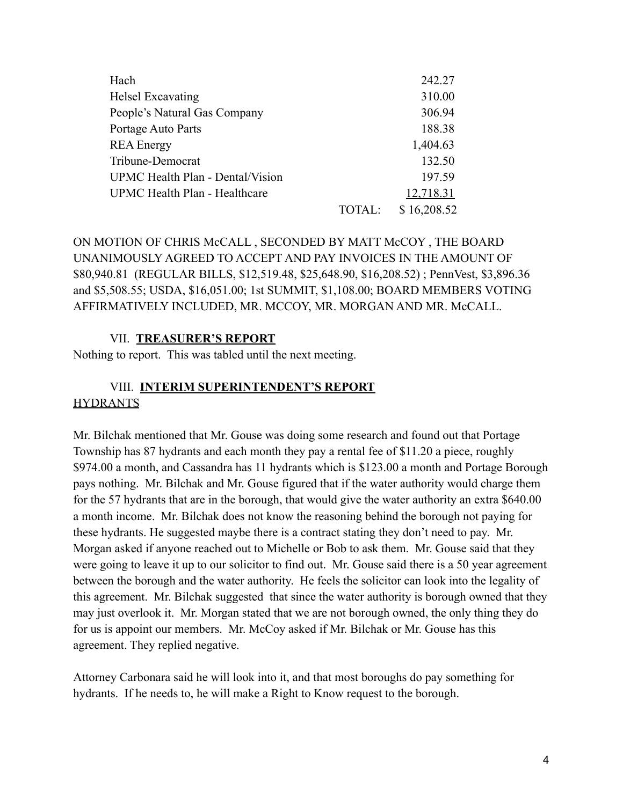| Hach                             |        | 242.27      |
|----------------------------------|--------|-------------|
| Helsel Excavating                |        | 310.00      |
| People's Natural Gas Company     |        | 306.94      |
| Portage Auto Parts               |        | 188.38      |
| <b>REA</b> Energy                |        | 1,404.63    |
| Tribune-Democrat                 |        | 132.50      |
| UPMC Health Plan - Dental/Vision |        | 197.59      |
| UPMC Health Plan - Healthcare    |        | 12,718.31   |
|                                  | TOTAL: | \$16,208.52 |

ON MOTION OF CHRIS McCALL , SECONDED BY MATT McCOY , THE BOARD UNANIMOUSLY AGREED TO ACCEPT AND PAY INVOICES IN THE AMOUNT OF \$80,940.81 (REGULAR BILLS, \$12,519.48, \$25,648.90, \$16,208.52) ; PennVest, \$3,896.36 and \$5,508.55; USDA, \$16,051.00; 1st SUMMIT, \$1,108.00; BOARD MEMBERS VOTING AFFIRMATIVELY INCLUDED, MR. MCCOY, MR. MORGAN AND MR. McCALL.

#### VII. **TREASURER'S REPORT**

Nothing to report. This was tabled until the next meeting.

#### VIII. **INTERIM SUPERINTENDENT'S REPORT HYDRANTS**

Mr. Bilchak mentioned that Mr. Gouse was doing some research and found out that Portage Township has 87 hydrants and each month they pay a rental fee of \$11.20 a piece, roughly \$974.00 a month, and Cassandra has 11 hydrants which is \$123.00 a month and Portage Borough pays nothing. Mr. Bilchak and Mr. Gouse figured that if the water authority would charge them for the 57 hydrants that are in the borough, that would give the water authority an extra \$640.00 a month income. Mr. Bilchak does not know the reasoning behind the borough not paying for these hydrants. He suggested maybe there is a contract stating they don't need to pay. Mr. Morgan asked if anyone reached out to Michelle or Bob to ask them. Mr. Gouse said that they were going to leave it up to our solicitor to find out. Mr. Gouse said there is a 50 year agreement between the borough and the water authority. He feels the solicitor can look into the legality of this agreement. Mr. Bilchak suggested that since the water authority is borough owned that they may just overlook it. Mr. Morgan stated that we are not borough owned, the only thing they do for us is appoint our members. Mr. McCoy asked if Mr. Bilchak or Mr. Gouse has this agreement. They replied negative.

Attorney Carbonara said he will look into it, and that most boroughs do pay something for hydrants. If he needs to, he will make a Right to Know request to the borough.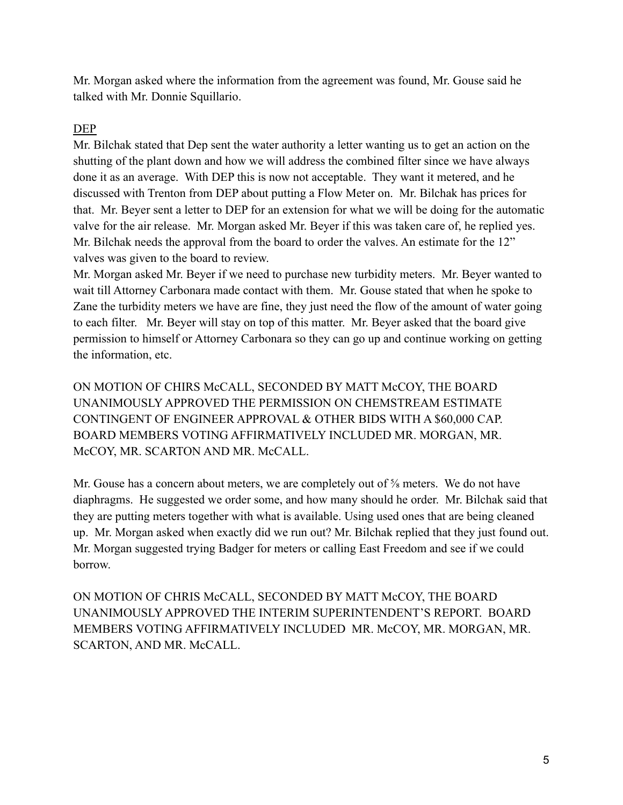Mr. Morgan asked where the information from the agreement was found, Mr. Gouse said he talked with Mr. Donnie Squillario.

# DEP

Mr. Bilchak stated that Dep sent the water authority a letter wanting us to get an action on the shutting of the plant down and how we will address the combined filter since we have always done it as an average. With DEP this is now not acceptable. They want it metered, and he discussed with Trenton from DEP about putting a Flow Meter on. Mr. Bilchak has prices for that. Mr. Beyer sent a letter to DEP for an extension for what we will be doing for the automatic valve for the air release. Mr. Morgan asked Mr. Beyer if this was taken care of, he replied yes. Mr. Bilchak needs the approval from the board to order the valves. An estimate for the 12" valves was given to the board to review.

Mr. Morgan asked Mr. Beyer if we need to purchase new turbidity meters. Mr. Beyer wanted to wait till Attorney Carbonara made contact with them. Mr. Gouse stated that when he spoke to Zane the turbidity meters we have are fine, they just need the flow of the amount of water going to each filter. Mr. Beyer will stay on top of this matter. Mr. Beyer asked that the board give permission to himself or Attorney Carbonara so they can go up and continue working on getting the information, etc.

ON MOTION OF CHIRS McCALL, SECONDED BY MATT McCOY, THE BOARD UNANIMOUSLY APPROVED THE PERMISSION ON CHEMSTREAM ESTIMATE CONTINGENT OF ENGINEER APPROVAL & OTHER BIDS WITH A \$60,000 CAP. BOARD MEMBERS VOTING AFFIRMATIVELY INCLUDED MR. MORGAN, MR. McCOY, MR. SCARTON AND MR. McCALL.

Mr. Gouse has a concern about meters, we are completely out of  $\frac{5}{8}$  meters. We do not have diaphragms. He suggested we order some, and how many should he order. Mr. Bilchak said that they are putting meters together with what is available. Using used ones that are being cleaned up. Mr. Morgan asked when exactly did we run out? Mr. Bilchak replied that they just found out. Mr. Morgan suggested trying Badger for meters or calling East Freedom and see if we could borrow.

ON MOTION OF CHRIS McCALL, SECONDED BY MATT McCOY, THE BOARD UNANIMOUSLY APPROVED THE INTERIM SUPERINTENDENT'S REPORT. BOARD MEMBERS VOTING AFFIRMATIVELY INCLUDED MR. McCOY, MR. MORGAN, MR. SCARTON, AND MR. McCALL.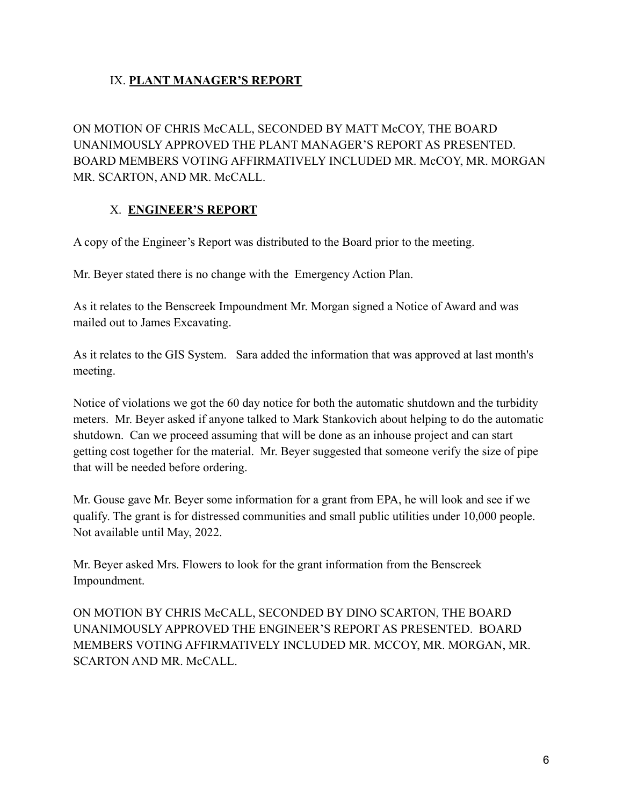# IX. **PLANT MANAGER'S REPORT**

ON MOTION OF CHRIS McCALL, SECONDED BY MATT McCOY, THE BOARD UNANIMOUSLY APPROVED THE PLANT MANAGER'S REPORT AS PRESENTED. BOARD MEMBERS VOTING AFFIRMATIVELY INCLUDED MR. McCOY, MR. MORGAN MR. SCARTON, AND MR. McCALL.

### X. **ENGINEER'S REPORT**

A copy of the Engineer's Report was distributed to the Board prior to the meeting.

Mr. Beyer stated there is no change with the Emergency Action Plan.

As it relates to the Benscreek Impoundment Mr. Morgan signed a Notice of Award and was mailed out to James Excavating.

As it relates to the GIS System. Sara added the information that was approved at last month's meeting.

Notice of violations we got the 60 day notice for both the automatic shutdown and the turbidity meters. Mr. Beyer asked if anyone talked to Mark Stankovich about helping to do the automatic shutdown. Can we proceed assuming that will be done as an inhouse project and can start getting cost together for the material. Mr. Beyer suggested that someone verify the size of pipe that will be needed before ordering.

Mr. Gouse gave Mr. Beyer some information for a grant from EPA, he will look and see if we qualify. The grant is for distressed communities and small public utilities under 10,000 people. Not available until May, 2022.

Mr. Beyer asked Mrs. Flowers to look for the grant information from the Benscreek Impoundment.

ON MOTION BY CHRIS McCALL, SECONDED BY DINO SCARTON, THE BOARD UNANIMOUSLY APPROVED THE ENGINEER'S REPORT AS PRESENTED. BOARD MEMBERS VOTING AFFIRMATIVELY INCLUDED MR. MCCOY, MR. MORGAN, MR. SCARTON AND MR. McCALL.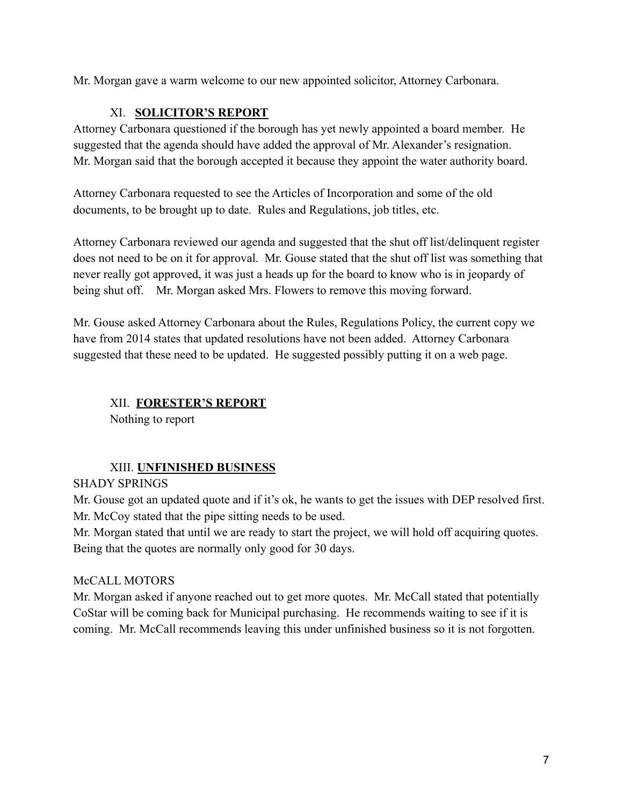Mr. Morgan gave a warm welcome to our new appointed solicitor, Attorney Carbonara.

#### XI. **SOLICITOR'S REPORT**

Attorney Carbonara questioned if the borough has yet newly appointed a board member. He suggested that the agenda should have added the approval of Mr. Alexander's resignation. Mr. Morgan said that the borough accepted it because they appoint the water authority board.

Attorney Carbonara requested to see the Articles of Incorporation and some of the old documents, to be brought up to date. Rules and Regulations, job titles, etc.

Attorney Carbonara reviewed our agenda and suggested that the shut off list/delinquent register does not need to be on it for approval. Mr. Gouse stated that the shut off list was something that never really got approved, it was just a heads up for the board to know who is in jeopardy of being shut off. Mr. Morgan asked Mrs. Flowers to remove this moving forward.

Mr. Gouse asked Attorney Carbonara about the Rules, Regulations Policy, the current copy we have from 2014 states that updated resolutions have not been added. Attorney Carbonara suggested that these need to be updated. He suggested possibly putting it on a web page.

### XII. **FORESTER'S REPORT**

Nothing to report

#### XIII. **UNFINISHED BUSINESS**

#### SHADY SPRINGS

Mr. Gouse got an updated quote and if it's ok, he wants to get the issues with DEP resolved first. Mr. McCoy stated that the pipe sitting needs to be used.

Mr. Morgan stated that until we are ready to start the project, we will hold off acquiring quotes. Being that the quotes are normally only good for 30 days.

#### McCALL MOTORS

Mr. Morgan asked if anyone reached out to get more quotes. Mr. McCall stated that potentially CoStar will be coming back for Municipal purchasing. He recommends waiting to see if it is coming. Mr. McCall recommends leaving this under unfinished business so it is not forgotten.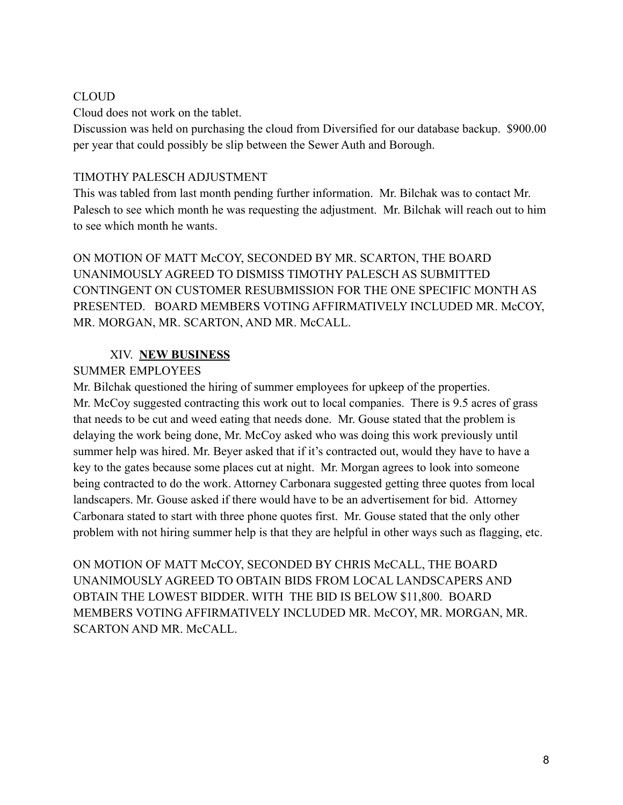#### CLOUD

Cloud does not work on the tablet.

Discussion was held on purchasing the cloud from Diversified for our database backup. \$900.00 per year that could possibly be slip between the Sewer Auth and Borough.

#### TIMOTHY PALESCH ADJUSTMENT

This was tabled from last month pending further information. Mr. Bilchak was to contact Mr. Palesch to see which month he was requesting the adjustment. Mr. Bilchak will reach out to him to see which month he wants.

ON MOTION OF MATT McCOY, SECONDED BY MR. SCARTON, THE BOARD UNANIMOUSLY AGREED TO DISMISS TIMOTHY PALESCH AS SUBMITTED CONTINGENT ON CUSTOMER RESUBMISSION FOR THE ONE SPECIFIC MONTH AS PRESENTED. BOARD MEMBERS VOTING AFFIRMATIVELY INCLUDED MR. McCOY, MR. MORGAN, MR. SCARTON, AND MR. McCALL.

# XIV. **NEW BUSINESS**

### SUMMER EMPLOYEES

Mr. Bilchak questioned the hiring of summer employees for upkeep of the properties. Mr. McCoy suggested contracting this work out to local companies. There is 9.5 acres of grass that needs to be cut and weed eating that needs done. Mr. Gouse stated that the problem is delaying the work being done, Mr. McCoy asked who was doing this work previously until summer help was hired. Mr. Beyer asked that if it's contracted out, would they have to have a key to the gates because some places cut at night. Mr. Morgan agrees to look into someone being contracted to do the work. Attorney Carbonara suggested getting three quotes from local landscapers. Mr. Gouse asked if there would have to be an advertisement for bid. Attorney Carbonara stated to start with three phone quotes first. Mr. Gouse stated that the only other problem with not hiring summer help is that they are helpful in other ways such as flagging, etc.

ON MOTION OF MATT McCOY, SECONDED BY CHRIS McCALL, THE BOARD UNANIMOUSLY AGREED TO OBTAIN BIDS FROM LOCAL LANDSCAPERS AND OBTAIN THE LOWEST BIDDER. WITH THE BID IS BELOW \$11,800. BOARD MEMBERS VOTING AFFIRMATIVELY INCLUDED MR. McCOY, MR. MORGAN, MR. SCARTON AND MR. McCALL.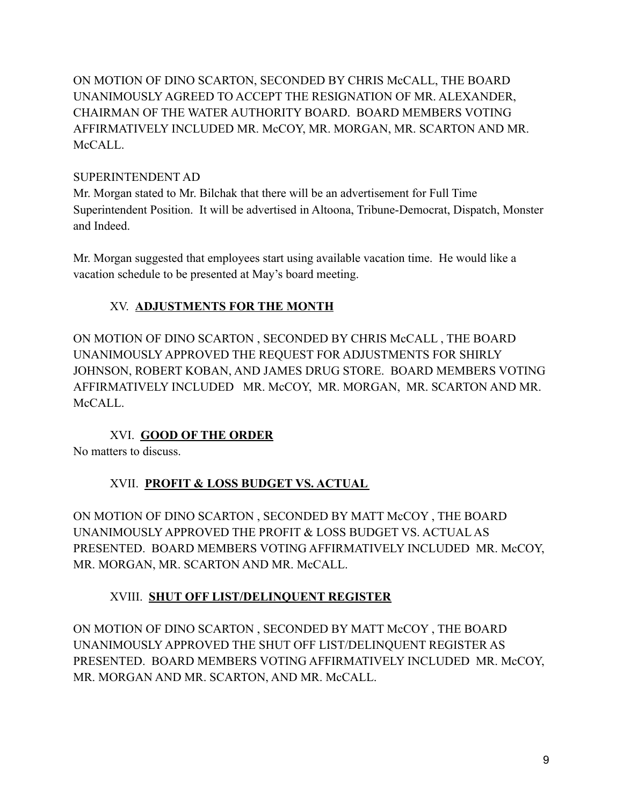ON MOTION OF DINO SCARTON, SECONDED BY CHRIS McCALL, THE BOARD UNANIMOUSLY AGREED TO ACCEPT THE RESIGNATION OF MR. ALEXANDER, CHAIRMAN OF THE WATER AUTHORITY BOARD. BOARD MEMBERS VOTING AFFIRMATIVELY INCLUDED MR. McCOY, MR. MORGAN, MR. SCARTON AND MR. McCALL.

#### SUPERINTENDENT AD

Mr. Morgan stated to Mr. Bilchak that there will be an advertisement for Full Time Superintendent Position. It will be advertised in Altoona, Tribune-Democrat, Dispatch, Monster and Indeed.

Mr. Morgan suggested that employees start using available vacation time. He would like a vacation schedule to be presented at May's board meeting.

# XV. **ADJUSTMENTS FOR THE MONTH**

ON MOTION OF DINO SCARTON , SECONDED BY CHRIS McCALL , THE BOARD UNANIMOUSLY APPROVED THE REQUEST FOR ADJUSTMENTS FOR SHIRLY JOHNSON, ROBERT KOBAN, AND JAMES DRUG STORE. BOARD MEMBERS VOTING AFFIRMATIVELY INCLUDED MR. McCOY, MR. MORGAN, MR. SCARTON AND MR. McCALL.

# XVI. **GOOD OF THE ORDER**

No matters to discuss.

# XVII. **PROFIT & LOSS BUDGET VS. ACTUAL**

ON MOTION OF DINO SCARTON , SECONDED BY MATT McCOY , THE BOARD UNANIMOUSLY APPROVED THE PROFIT & LOSS BUDGET VS. ACTUAL AS PRESENTED. BOARD MEMBERS VOTING AFFIRMATIVELY INCLUDED MR. McCOY, MR. MORGAN, MR. SCARTON AND MR. McCALL.

# XVIII. **SHUT OFF LIST/DELINQUENT REGISTER**

ON MOTION OF DINO SCARTON , SECONDED BY MATT McCOY , THE BOARD UNANIMOUSLY APPROVED THE SHUT OFF LIST/DELINQUENT REGISTER AS PRESENTED. BOARD MEMBERS VOTING AFFIRMATIVELY INCLUDED MR. McCOY, MR. MORGAN AND MR. SCARTON, AND MR. McCALL.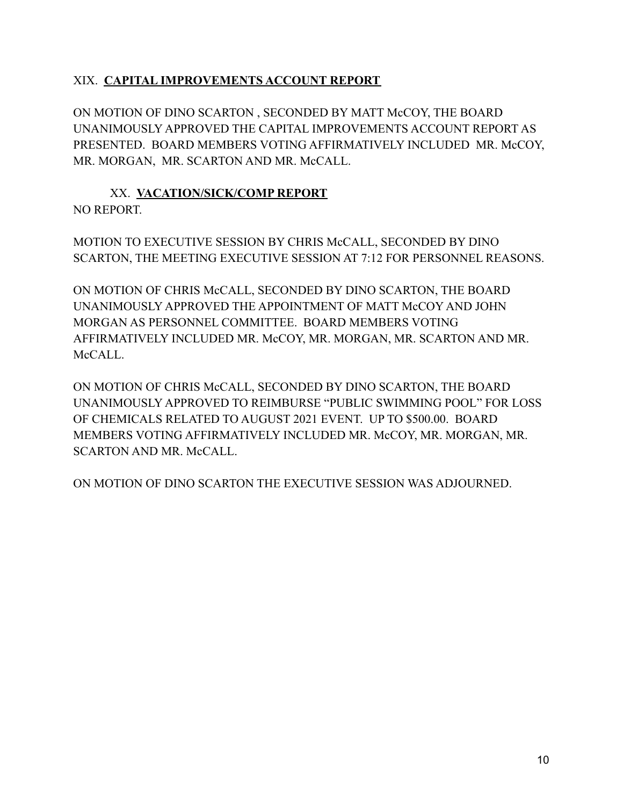# XIX. **CAPITAL IMPROVEMENTS ACCOUNT REPORT**

ON MOTION OF DINO SCARTON , SECONDED BY MATT McCOY, THE BOARD UNANIMOUSLY APPROVED THE CAPITAL IMPROVEMENTS ACCOUNT REPORT AS PRESENTED. BOARD MEMBERS VOTING AFFIRMATIVELY INCLUDED MR. McCOY, MR. MORGAN, MR. SCARTON AND MR. McCALL.

# XX. **VACATION/SICK/COMP REPORT** NO REPORT.

MOTION TO EXECUTIVE SESSION BY CHRIS McCALL, SECONDED BY DINO SCARTON, THE MEETING EXECUTIVE SESSION AT 7:12 FOR PERSONNEL REASONS.

ON MOTION OF CHRIS McCALL, SECONDED BY DINO SCARTON, THE BOARD UNANIMOUSLY APPROVED THE APPOINTMENT OF MATT McCOY AND JOHN MORGAN AS PERSONNEL COMMITTEE. BOARD MEMBERS VOTING AFFIRMATIVELY INCLUDED MR. McCOY, MR. MORGAN, MR. SCARTON AND MR. McCALL.

ON MOTION OF CHRIS McCALL, SECONDED BY DINO SCARTON, THE BOARD UNANIMOUSLY APPROVED TO REIMBURSE "PUBLIC SWIMMING POOL" FOR LOSS OF CHEMICALS RELATED TO AUGUST 2021 EVENT. UP TO \$500.00. BOARD MEMBERS VOTING AFFIRMATIVELY INCLUDED MR. McCOY, MR. MORGAN, MR. SCARTON AND MR. McCALL.

ON MOTION OF DINO SCARTON THE EXECUTIVE SESSION WAS ADJOURNED.